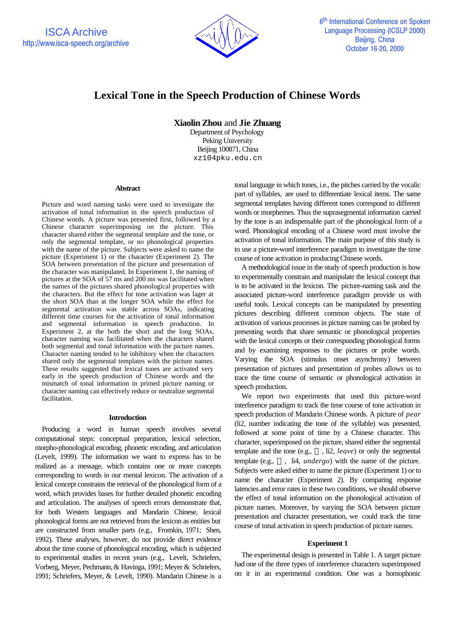

# **Lexical Tone in the Speech Production of Chinese Words**

**Xiaolin Zhou** and **Jie Zhuang**

Department of Psychology Peking University Beijing 100871, China xz104pku.edu.cn

### **Abstract**

Picture and word naming tasks were used to investigate the activation of tonal information in the speech production of Chinese words. A picture was presented first, followed by a Chinese character superimposing on the picture. This character shared either the segmental template and the tone, or only the segmental template, or no phonological properties with the name of the picture. Subjects were asked to name the picture (Experiment 1) or the character (Experiment 2). The SOA between presentation of the picture and presentation of the character was manipulated. In Experiment 1, the naming of pictures at the SOA of 57 ms and 200 ms was facilitated when the names of the pictures shared phonological properties with the characters. But the effect for tone activation was lager at the short SOA than at the longer SOA while the effect for segmental activation was stable across SOAs, indicating different time courses for the activation of tonal information and segmental information in speech production. In Experiment 2, at the both the short and the long SOAs, character naming was facilitated when the characters shared both segmental and tonal information with the picture names. Character naming tended to be inhibitory when the characters shared only the segmental templates with the picture names. These results suggested that lexical tones are activated very early in the speech production of Chinese words and the mismatch of tonal information in primed picture naming or character naming can effectively reduce or neutralize segmental facilitation.

#### **Introduction**

Producing a word in human speech involves several computational steps: conceptual preparation, lexical selection, morpho-phonological encoding, phonetic encoding, and articulation (Levelt, 1999). The information we want to express has to be realized as a message, which contains one or more concepts corresponding to words in our mental lexicon. The activation of a lexical concept constrains the retrieval of the phonological form of a word, which provides bases for further detailed phonetic encoding and articulation. The analyses of speech errors demonstrate that, for both Western languages and Mandarin Chinese, lexical phonological forms are not retrieved from the lexicon as entities but are constructed from smaller parts (e.g., Fromkin, 1971; Shen, 1992). These analyses, however, do not provide direct evidence about the time course of phonological encoding, which is subjected to experimental studies in recent years (e.g., Levelt, Schriefers, Vorberg, Meyer, Pechmann, & Havinga, 1991; Meyer & Schriefers, 1991; Schriefers, Meyer, & Levelt, 1990). Mandarin Chinese is a

tonal language in which tones, i.e., the pitches carried by the vocalic part of syllables, are used to differentiate lexical items. The same segmental templates having different tones correspond to different words or morphemes. Thus the suprasegmental information carried by the tone is an indispensable part of the phonological form of a word. Phonological encoding of a Chinese word must involve the activation of tonal information. The main purpose of this study is to use a picture-word interference paradigm to investigate the time course of tone activation in producing Chinese words.

A methodological issue in the study of speech production is how to experimentally constrain and manipulate the lexical concept that is to be activated in the lexicon. The picture-naming task and the associated picture-word interference paradigm provide us with useful tools. Lexical concepts can be manipulated by presenting pictures describing different common objects. The state of activation of various processes in picture naming can be probed by presenting words that share semantic or phonological properties with the lexical concepts or their corresponding phonological forms and by examining responses to the pictures or probe words. Varying the SOA (stimulus onset asynchrony) between presentation of pictures and presentation of probes allows us to trace the time course of semantic or phonological activation in speech production.

We report two experiments that used this picture-word interference paradigm to track the time course of tone activation in speech production of Mandarin Chinese words. A picture of *pear* (li2, number indicating the tone of the syllable) was presented, followed at some point of time by a Chinese character. This character, superimposed on the picture, shared either the segmental template and the tone (e.g., , li2, *leave*) or only the segmental template (e.g., , li4, *undergo*) with the name of the picture. Subjects were asked either to name the picture (Experiment 1) or to name the character (Experiment 2). By comparing response latencies and error rates in these two conditions, we should observe the effect of tonal information on the phonological activation of picture names. Moreover, by varying the SOA between picture presentation and character presentation, we could track the time course of tonal activation in speech production of picture names.

## **Experiment 1**

The experimental design is presented in Table 1. A target picture had one of the three types of interference characters superimposed on it in an experimental condition. One was a homophonic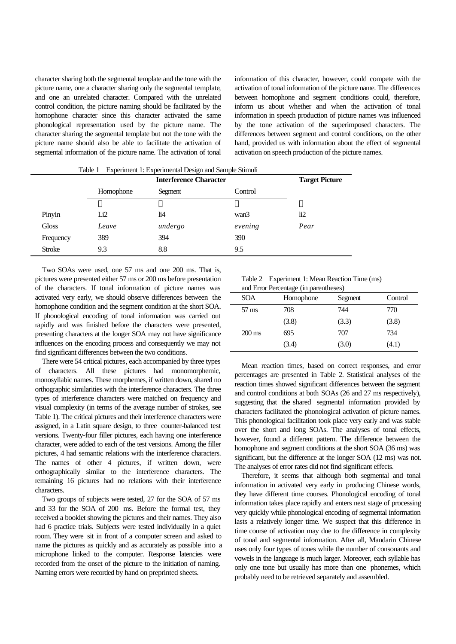character sharing both the segmental template and the tone with the picture name, one a character sharing only the segmental template, and one an unrelated character. Compared with the unrelated control condition, the picture naming should be facilitated by the homophone character since this character activated the same phonological representation used by the picture name. The character sharing the segmental template but not the tone with the picture name should also be able to facilitate the activation of segmental information of the picture name. The activation of tonal information of this character, however, could compete with the activation of tonal information of the picture name. The differences between homophone and segment conditions could, therefore, inform us about whether and when the activation of tonal information in speech production of picture names was influenced by the tone activation of the superimposed characters. The differences between segment and control conditions, on the other hand, provided us with information about the effect of segmental activation on speech production of the picture names.

| Experiment 1: Experimental Design and Sample Stimuli<br>Table 1 |                               |         |         |                 |  |
|-----------------------------------------------------------------|-------------------------------|---------|---------|-----------------|--|
|                                                                 | <b>Interference Character</b> |         |         |                 |  |
|                                                                 | Homophone                     | Segment | Control |                 |  |
|                                                                 |                               |         |         |                 |  |
| Pinyin                                                          | Li <sub>2</sub>               | li4     | wan3    | $\overline{12}$ |  |
| Gloss                                                           | Leave                         | undergo | evening | Pear            |  |
| Frequency                                                       | 389                           | 394     | 390     |                 |  |
| <b>Stroke</b>                                                   | 9.3                           | 8.8     | 9.5     |                 |  |

Two SOAs were used, one 57 ms and one 200 ms. That is, pictures were presented either 57 ms or 200 ms before presentation of the characters. If tonal information of picture names was activated very early, we should observe differences between the homophone condition and the segment condition at the short SOA. If phonological encoding of tonal information was carried out rapidly and was finished before the characters were presented, presenting characters at the longer SOA may not have significance influences on the encoding process and consequently we may not find significant differences between the two conditions.

There were 54 critical pictures, each accompanied by three types of characters. All these pictures had monomorphemic, monosyllabic names. These morphemes, if written down, shared no orthographic similarities with the interference characters. The three types of interference characters were matched on frequency and visual complexity (in terms of the average number of strokes, see Table 1). The critical pictures and their interference characters were assigned, in a Latin square design, to three counter-balanced test versions. Twenty-four filler pictures, each having one interference character, were added to each of the test versions. Among the filler pictures, 4 had semantic relations with the interference characters. The names of other 4 pictures, if written down, were orthographically similar to the interference characters. The remaining 16 pictures had no relations with their interference characters.

Two groups of subjects were tested, 27 for the SOA of 57 ms and 33 for the SOA of 200 ms. Before the formal test, they received a booklet showing the pictures and their names. They also had 6 practice trials. Subjects were tested individually in a quiet room. They were sit in front of a computer screen and asked to name the pictures as quickly and as accurately as possible into a microphone linked to the computer. Response latencies were recorded from the onset of the picture to the initiation of naming. Naming errors were recorded by hand on preprinted sheets.

Table 2 Experiment 1: Mean Reaction Time (ms) d Error Doroontage (in paramthe

| <b>SOA</b>          | Homophone | Segment | Control |
|---------------------|-----------|---------|---------|
| $57 \text{ ms}$     | 708       | 744     | 770     |
|                     | (3.8)     | (3.3)   | (3.8)   |
| $200 \,\mathrm{ms}$ | 695       | 707     | 734     |
|                     | (3.4)     | (3.0)   | (4.1)   |

Mean reaction times, based on correct responses, and error percentages are presented in Table 2. Statistical analyses of the reaction times showed significant differences between the segment and control conditions at both SOAs (26 and 27 ms respectively), suggesting that the shared segmental information provided by characters facilitated the phonological activation of picture names. This phonological facilitation took place very early and was stable over the short and long SOAs. The analyses of tonal effects, however, found a different pattern. The difference between the homophone and segment conditions at the short SOA (36 ms) was significant, but the difference at the longer SOA (12 ms) was not. The analyses of error rates did not find significant effects.

Therefore, it seems that although both segmental and tonal information in activated very early in producing Chinese words, they have different time courses. Phonological encoding of tonal information takes place rapidly and enters next stage of processing very quickly while phonological encoding of segmental information lasts a relatively longer time. We suspect that this difference in time course of activation may due to the difference in complexity of tonal and segmental information. After all, Mandarin Chinese uses only four types of tones while the number of consonants and vowels in the language is much larger. Moreover, each syllable has only one tone but usually has more than one phonemes, which probably need to be retrieved separately and assembled.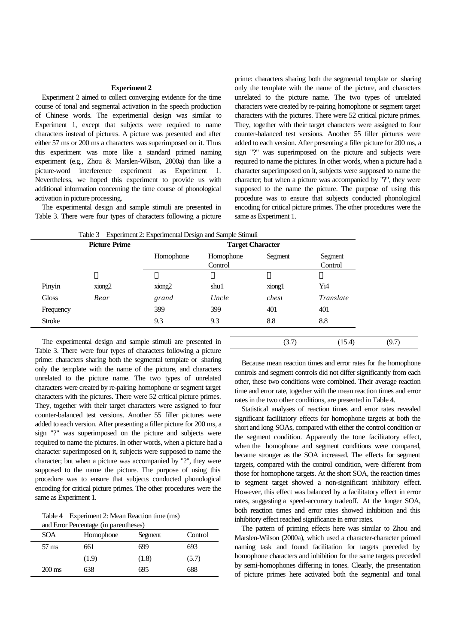#### **Experiment 2**

Experiment 2 aimed to collect converging evidence for the time course of tonal and segmental activation in the speech production of Chinese words. The experimental design was similar to Experiment 1, except that subjects were required to name characters instead of pictures. A picture was presented and after either 57 ms or 200 ms a characters was superimposed on it. Thus this experiment was more like a standard primed naming experiment (e.g., Zhou & Marslen-Wilson, 2000a) than like a picture-word interference experiment as Experiment 1. Nevertheless, we hoped this experiment to provide us with additional information concerning the time course of phonological activation in picture processing.

The experimental design and sample stimuli are presented in Table 3. There were four types of characters following a picture

prime: characters sharing both the segmental template or sharing only the template with the name of the picture, and characters unrelated to the picture name. The two types of unrelated characters were created by re-pairing homophone or segment target characters with the pictures. There were 52 critical picture primes. They, together with their target characters were assigned to four counter-balanced test versions. Another 55 filler pictures were added to each version. After presenting a filler picture for 200 ms, a sign "?" was superimposed on the picture and subjects were required to name the pictures. In other words, when a picture had a character superimposed on it, subjects were supposed to name the character; but when a picture was accompanied by "?", they were supposed to the name the picture. The purpose of using this procedure was to ensure that subjects conducted phonological encoding for critical picture primes. The other procedures were the same as Experiment 1.

| Experiment 2: Experimental Design and Sample Stimuli<br>Table 3 |        |                         |           |         |           |
|-----------------------------------------------------------------|--------|-------------------------|-----------|---------|-----------|
| <b>Picture Prime</b>                                            |        | <b>Target Character</b> |           |         |           |
|                                                                 |        | Homophone               | Homophone | Segment | Segment   |
|                                                                 |        |                         | Control   |         | Control   |
|                                                                 |        |                         |           |         |           |
| Pinyin                                                          | xiong2 | xiong2                  | shu1      | xiong1  | Yi4       |
| Gloss                                                           | Bear   | grand                   | Uncle     | chest   | Translate |
| Frequency                                                       |        | 399                     | 399       | 401     | 401       |
| <b>Stroke</b>                                                   |        | 9.3                     | 9.3       | 8.8     | 8.8       |
|                                                                 |        |                         |           |         |           |

The experimental design and sample stimuli are presented in Table 3. There were four types of characters following a picture prime: characters sharing both the segmental template or sharing only the template with the name of the picture, and characters unrelated to the picture name. The two types of unrelated characters were created by re-pairing homophone or segment target characters with the pictures. There were 52 critical picture primes. They, together with their target characters were assigned to four counter-balanced test versions. Another 55 filler pictures were added to each version. After presenting a filler picture for 200 ms, a sign "?" was superimposed on the picture and subjects were required to name the pictures. In other words, when a picture had a character superimposed on it, subjects were supposed to name the character; but when a picture was accompanied by "?", they were supposed to the name the picture. The purpose of using this procedure was to ensure that subjects conducted phonological encoding for critical picture primes. The other procedures were the same as Experiment 1.

Table 4 Experiment 2: Mean Reaction time (ms)  $n_{\text{P}}$ 

| and Eliot Percentage (in parentieses) |           |         |         |  |  |
|---------------------------------------|-----------|---------|---------|--|--|
| SOA                                   | Homophone | Segment | Control |  |  |
| $57 \text{ ms}$                       | 661       | 699     | 693     |  |  |
|                                       | (1.9)     | (1.8)   | (5.7)   |  |  |
| $200 \,\mathrm{ms}$                   | 638       | 695     | 688     |  |  |

Because mean reaction times and error rates for the homophone controls and segment controls did not differ significantly from each other, these two conditions were combined. Their average reaction time and error rate, together with the mean reaction times and error rates in the two other conditions, are presented in Table 4.

 $(3.7)$   $(15.4)$   $(9.7)$ 

Statistical analyses of reaction times and error rates revealed significant facilitatory effects for homophone targets at both the short and long SOAs, compared with either the control condition or the segment condition. Apparently the tone facilitatory effect, when the homophone and segment conditions were compared, became stronger as the SOA increased. The effects for segment targets, compared with the control condition, were different from those for homophone targets. At the short SOA, the reaction times to segment target showed a non-significant inhibitory effect. However, this effect was balanced by a facilitatory effect in error rates, suggesting a speed-accuracy tradeoff. At the longer SOA, both reaction times and error rates showed inhibition and this inhibitory effect reached significance in error rates.

The pattern of priming effects here was similar to Zhou and Marslen-Wilson (2000a), which used a character-character primed naming task and found facilitation for targets preceded by homophone characters and inhibition for the same targets preceded by semi-homophones differing in tones. Clearly, the presentation of picture primes here activated both the segmental and tonal